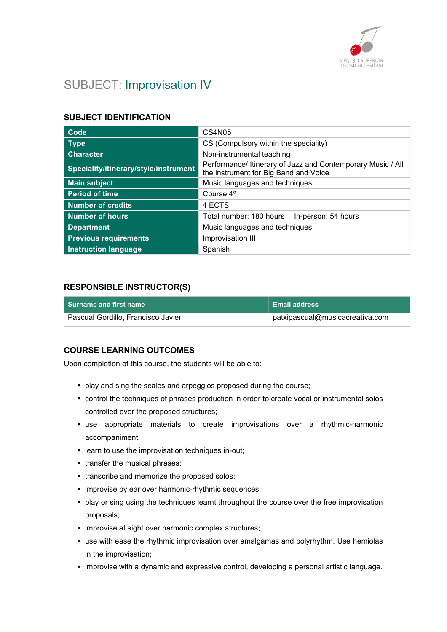

# SUBJECT: Improvisation IV

# SUBJECT IDENTIFICATION

| Code                                  | CS4N05                                                                                               |  |
|---------------------------------------|------------------------------------------------------------------------------------------------------|--|
| <b>Type</b>                           | CS (Compulsory within the speciality)                                                                |  |
| <b>Character</b>                      | Non-instrumental teaching                                                                            |  |
| Speciality/itinerary/style/instrument | Performance/ Itinerary of Jazz and Contemporary Music / All<br>the instrument for Big Band and Voice |  |
| <b>Main subject</b>                   | Music languages and techniques                                                                       |  |
| <b>Period of time</b>                 | Course 4°                                                                                            |  |
| <b>Number of credits</b>              | 4 ECTS                                                                                               |  |
| <b>Number of hours</b>                | Total number: 180 hours<br>In-person: 54 hours                                                       |  |
| <b>Department</b>                     | Music languages and techniques                                                                       |  |
| <b>Previous requirements</b>          | Improvisation III                                                                                    |  |
| <b>Instruction language</b>           | Spanish                                                                                              |  |

#### RESPONSIBLE INSTRUCTOR(S)

| l  Surname and first name          | ∣ Email address |
|------------------------------------|-----------------|
| Pascual Gordillo, Francisco Javier |                 |

#### COURSE LEARNING OUTCOMES

Upon completion of this course, the students will be able to:

- **play and sing the scales and arpeggios proposed during the course;**
- control the techniques of phrases production in order to create vocal or instrumental solos controlled over the proposed structures;
- use appropriate materials to create improvisations over a rhythmic-harmonic accompaniment.
- **E** learn to use the improvisation techniques in-out;
- transfer the musical phrases;
- transcribe and memorize the proposed solos;
- **·** improvise by ear over harmonic-rhythmic sequences;
- play or sing using the techniques learnt throughout the course over the free improvisation proposals;
- **· improvise at sight over harmonic complex structures;**
- use with ease the rhythmic improvisation over amalgamas and polyrhythm. Use hemiolas in the improvisation;
- improvise with a dynamic and expressive control, developing a personal artistic language.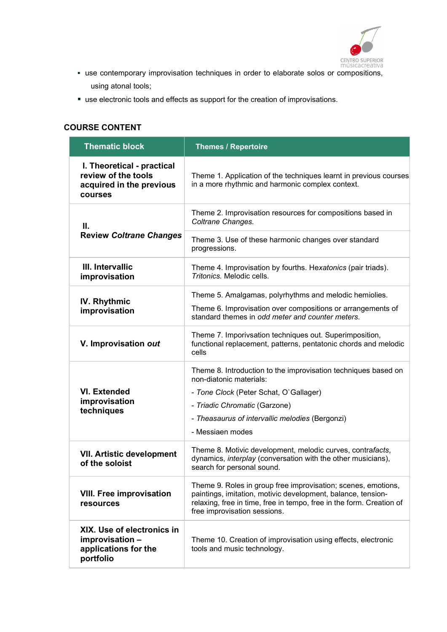

- CENTRO SUPERIOR<br>músicacreativa<br>, use contemporary improvisation techniques in order to elaborate solos or compositions using atonal tools;
- use electronic tools and effects as support for the creation of improvisations.

#### COURSE CONTENT

| <b>Thematic block</b>                                                                    | <b>Themes / Repertoire</b>                                                                                                                                                                                                                  |
|------------------------------------------------------------------------------------------|---------------------------------------------------------------------------------------------------------------------------------------------------------------------------------------------------------------------------------------------|
| I. Theoretical - practical<br>review of the tools<br>acquired in the previous<br>courses | Theme 1. Application of the techniques learnt in previous courses<br>in a more rhythmic and harmonic complex context.                                                                                                                       |
| Ш.                                                                                       | Theme 2. Improvisation resources for compositions based in<br>Coltrane Changes.                                                                                                                                                             |
| <b>Review Coltrane Changes</b>                                                           | Theme 3. Use of these harmonic changes over standard<br>progressions.                                                                                                                                                                       |
| III. Intervallic<br>improvisation                                                        | Theme 4. Improvisation by fourths. Hexatonics (pair triads).<br>Tritonics. Melodic cells.                                                                                                                                                   |
| <b>IV. Rhythmic</b><br>improvisation                                                     | Theme 5. Amalgamas, polyrhythms and melodic hemiolies.<br>Theme 6. Improvisation over compositions or arrangements of<br>standard themes in odd meter and counter meters.                                                                   |
| V. Improvisation out                                                                     | Theme 7. Imporivsation techniques out. Superimposition,<br>functional replacement, patterns, pentatonic chords and melodic<br>cells                                                                                                         |
| <b>VI. Extended</b><br>improvisation<br>techniques                                       | Theme 8. Introduction to the improvisation techniques based on<br>non-diatonic materials:<br>- Tone Clock (Peter Schat, O'Gallager)<br>- Triadic Chromatic (Garzone)<br>- Theasaurus of intervallic melodies (Bergonzi)<br>- Messiaen modes |
| <b>VII. Artistic development</b><br>of the soloist                                       | Theme 8. Motivic development, melodic curves, contrafacts,<br>dynamics, interplay (conversation with the other musicians),<br>search for personal sound.                                                                                    |
| <b>VIII. Free improvisation</b><br>resources                                             | Theme 9. Roles in group free improvisation; scenes, emotions,<br>paintings, imitation, motivic development, balance, tension-<br>relaxing, free in time, free in tempo, free in the form. Creation of<br>free improvisation sessions.       |
| XIX. Use of electronics in<br>improvisation -<br>applications for the<br>portfolio       | Theme 10. Creation of improvisation using effects, electronic<br>tools and music technology.                                                                                                                                                |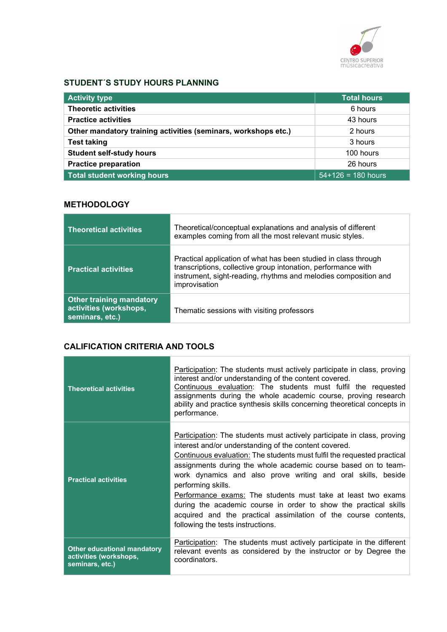

# STUDENT´S STUDY HOURS PLANNING

| <b>Activity type</b>                                           | <b>Total hours</b>    |
|----------------------------------------------------------------|-----------------------|
| <b>Theoretic activities</b>                                    | 6 hours               |
| <b>Practice activities</b>                                     | 43 hours              |
| Other mandatory training activities (seminars, workshops etc.) | 2 hours               |
| <b>Test taking</b>                                             | 3 hours               |
| <b>Student self-study hours</b>                                | 100 hours             |
| <b>Practice preparation</b>                                    | 26 hours              |
| <b>Total student working hours</b>                             | $154+126 = 180$ hours |

# **METHODOLOGY**

| <b>Theoretical activities</b>                                                | Theoretical/conceptual explanations and analysis of different<br>examples coming from all the most relevant music styles.                                                                                            |
|------------------------------------------------------------------------------|----------------------------------------------------------------------------------------------------------------------------------------------------------------------------------------------------------------------|
| <b>Practical activities</b>                                                  | Practical application of what has been studied in class through<br>transcriptions, collective group intonation, performance with<br>instrument, sight-reading, rhythms and melodies composition and<br>improvisation |
| <b>Other training mandatory</b><br>activities (workshops,<br>seminars, etc.) | Thematic sessions with visiting professors                                                                                                                                                                           |

# CALIFICATION CRITERIA AND TOOLS

and the control of the control of the control of the control of the control of the control of

| <b>Theoretical activities</b>                                                   | Participation: The students must actively participate in class, proving<br>interest and/or understanding of the content covered.<br>Continuous evaluation: The students must fulfil the requested<br>assignments during the whole academic course, proving research<br>ability and practice synthesis skills concerning theoretical concepts in<br>performance.                                                                                                                                                                                                                                                 |
|---------------------------------------------------------------------------------|-----------------------------------------------------------------------------------------------------------------------------------------------------------------------------------------------------------------------------------------------------------------------------------------------------------------------------------------------------------------------------------------------------------------------------------------------------------------------------------------------------------------------------------------------------------------------------------------------------------------|
| <b>Practical activities</b>                                                     | Participation: The students must actively participate in class, proving<br>interest and/or understanding of the content covered.<br>Continuous evaluation: The students must fulfil the requested practical<br>assignments during the whole academic course based on to team-<br>work dynamics and also prove writing and oral skills, beside<br>performing skills.<br>Performance exams: The students must take at least two exams<br>during the academic course in order to show the practical skills<br>acquired and the practical assimilation of the course contents,<br>following the tests instructions. |
| <b>Other educational mandatory</b><br>activities (workshops,<br>seminars, etc.) | Participation: The students must actively participate in the different<br>relevant events as considered by the instructor or by Degree the<br>coordinators.                                                                                                                                                                                                                                                                                                                                                                                                                                                     |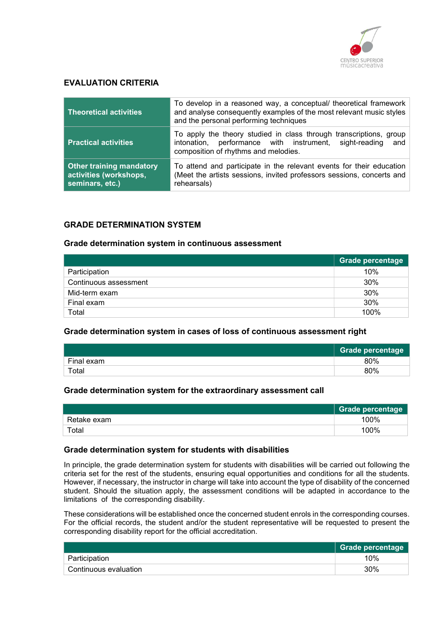

#### EVALUATION CRITERIA

| <b>Theoretical activities</b>                                                | To develop in a reasoned way, a conceptual/ theoretical framework<br>and analyse consequently examples of the most relevant music styles<br>and the personal performing techniques |  |
|------------------------------------------------------------------------------|------------------------------------------------------------------------------------------------------------------------------------------------------------------------------------|--|
| <b>Practical activities</b>                                                  | To apply the theory studied in class through transcriptions, group<br>intonation, performance with instrument, sight-reading<br>and<br>composition of rhythms and melodies.        |  |
| <b>Other training mandatory</b><br>activities (workshops,<br>seminars, etc.) | To attend and participate in the relevant events for their education<br>(Meet the artists sessions, invited professors sessions, concerts and<br>rehearsals)                       |  |

#### GRADE DETERMINATION SYSTEM

#### Grade determination system in continuous assessment

|                       | Grade percentage |
|-----------------------|------------------|
| Participation         | 10%              |
| Continuous assessment | 30%              |
| Mid-term exam         | 30%              |
| Final exam            | 30%              |
| Total                 | 100%             |

#### Grade determination system in cases of loss of continuous assessment right

|            | <b>Grade percentage</b> |
|------------|-------------------------|
| Final exam | 80%                     |
| Total      | 80%                     |

#### Grade determination system for the extraordinary assessment call

|             | Grade percentage |
|-------------|------------------|
| Retake exam | 100%             |
| Total       | 100%             |

#### Grade determination system for students with disabilities

In principle, the grade determination system for students with disabilities will be carried out following the criteria set for the rest of the students, ensuring equal opportunities and conditions for all the students. However, if necessary, the instructor in charge will take into account the type of disability of the concerned student. Should the situation apply, the assessment conditions will be adapted in accordance to the limitations of the corresponding disability.

These considerations will be established once the concerned student enrols in the corresponding courses. For the official records, the student and/or the student representative will be requested to present the corresponding disability report for the official accreditation.

|                       | Grade percentage |
|-----------------------|------------------|
| Participation         | 10%              |
| Continuous evaluation | $30\%$           |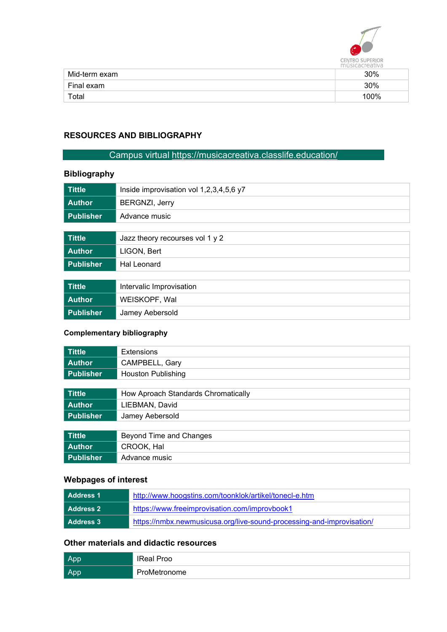

|               | 11151<br>aceanva |
|---------------|------------------|
| Mid-term exam | 30%              |
| Final exam    | 30%              |
| Total         | 100%             |

# RESOURCES AND BIBLIOGRAPHY

# Campus virtual https://musicacreativa.classlife.education/

# Bibliography

| <b>Tittle</b>    | Inside improvisation vol 1,2,3,4,5,6 y7 |
|------------------|-----------------------------------------|
| <b>Author</b>    | <b>BERGNZI, Jerry</b>                   |
| <b>Publisher</b> | Advance music                           |
|                  |                                         |
| <b>Tittle</b>    | Jazz theory recourses vol 1 y 2         |
| <b>Author</b>    | LIGON, Bert                             |
| <b>Publisher</b> | Hal Leonard                             |
|                  |                                         |
| <b>Tittle</b>    | Intervalic Improvisation                |
| <b>Author</b>    | WEISKOPF, Wal                           |
| <b>Publisher</b> | Jamey Aebersold                         |

# Complementary bibliography

| <b>Tittle</b>    | <b>Extensions</b>                   |
|------------------|-------------------------------------|
| <b>Author</b>    | CAMPBELL, Gary                      |
| <b>Publisher</b> | <b>Houston Publishing</b>           |
|                  |                                     |
| <b>Tittle</b>    | How Aproach Standards Chromatically |
| <b>Author</b>    | LIEBMAN, David                      |
| <b>Publisher</b> | Jamey Aebersold                     |
|                  |                                     |
| <b>Tittle</b>    | Beyond Time and Changes             |
| <b>Author</b>    | CROOK, Hal                          |
| <b>Publisher</b> | Advance music                       |

# Webpages of interest

| l  Address 1     | http://www.hoogstins.com/toonklok/artikel/tonecl-e.htm                |
|------------------|-----------------------------------------------------------------------|
| l  Address 2     | https://www.freeimprovisation.com/improvbook1                         |
| <b>Address 3</b> | https://nmbx.newmusicusa.org/live-sound-processing-and-improvisation/ |

# Other materials and didactic resources

| L Ap.      | <b>IReal Proo</b> |
|------------|-------------------|
| <b>App</b> | ProMetronome      |